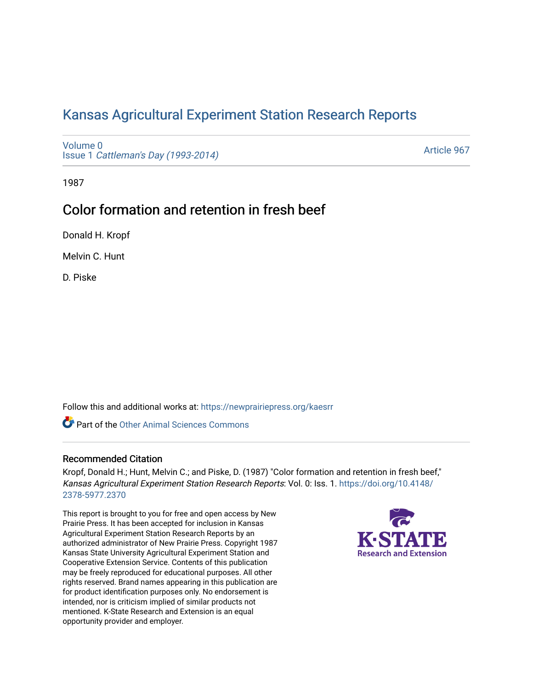## [Kansas Agricultural Experiment Station Research Reports](https://newprairiepress.org/kaesrr)

[Volume 0](https://newprairiepress.org/kaesrr/vol0) Issue 1 [Cattleman's Day \(1993-2014\)](https://newprairiepress.org/kaesrr/vol0/iss1) 

[Article 967](https://newprairiepress.org/kaesrr/vol0/iss1/967) 

1987

# Color formation and retention in fresh beef

Donald H. Kropf

Melvin C. Hunt

D. Piske

Follow this and additional works at: [https://newprairiepress.org/kaesrr](https://newprairiepress.org/kaesrr?utm_source=newprairiepress.org%2Fkaesrr%2Fvol0%2Fiss1%2F967&utm_medium=PDF&utm_campaign=PDFCoverPages) 

Part of the [Other Animal Sciences Commons](http://network.bepress.com/hgg/discipline/82?utm_source=newprairiepress.org%2Fkaesrr%2Fvol0%2Fiss1%2F967&utm_medium=PDF&utm_campaign=PDFCoverPages)

### Recommended Citation

Kropf, Donald H.; Hunt, Melvin C.; and Piske, D. (1987) "Color formation and retention in fresh beef," Kansas Agricultural Experiment Station Research Reports: Vol. 0: Iss. 1. [https://doi.org/10.4148/](https://doi.org/10.4148/2378-5977.2370) [2378-5977.2370](https://doi.org/10.4148/2378-5977.2370) 

This report is brought to you for free and open access by New Prairie Press. It has been accepted for inclusion in Kansas Agricultural Experiment Station Research Reports by an authorized administrator of New Prairie Press. Copyright 1987 Kansas State University Agricultural Experiment Station and Cooperative Extension Service. Contents of this publication may be freely reproduced for educational purposes. All other rights reserved. Brand names appearing in this publication are for product identification purposes only. No endorsement is intended, nor is criticism implied of similar products not mentioned. K-State Research and Extension is an equal opportunity provider and employer.

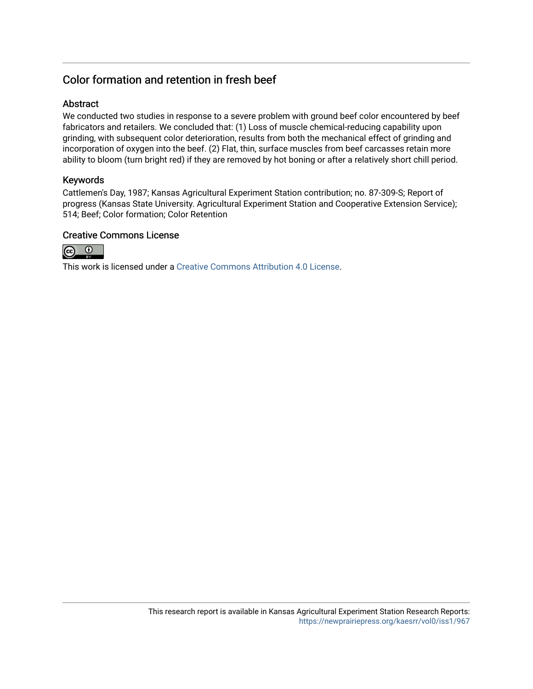## Color formation and retention in fresh beef

### **Abstract**

We conducted two studies in response to a severe problem with ground beef color encountered by beef fabricators and retailers. We concluded that: (1) Loss of muscle chemical-reducing capability upon grinding, with subsequent color deterioration, results from both the mechanical effect of grinding and incorporation of oxygen into the beef. (2) Flat, thin, surface muscles from beef carcasses retain more ability to bloom (turn bright red) if they are removed by hot boning or after a relatively short chill period.

### Keywords

Cattlemen's Day, 1987; Kansas Agricultural Experiment Station contribution; no. 87-309-S; Report of progress (Kansas State University. Agricultural Experiment Station and Cooperative Extension Service); 514; Beef; Color formation; Color Retention

### Creative Commons License



This work is licensed under a [Creative Commons Attribution 4.0 License](https://creativecommons.org/licenses/by/4.0/).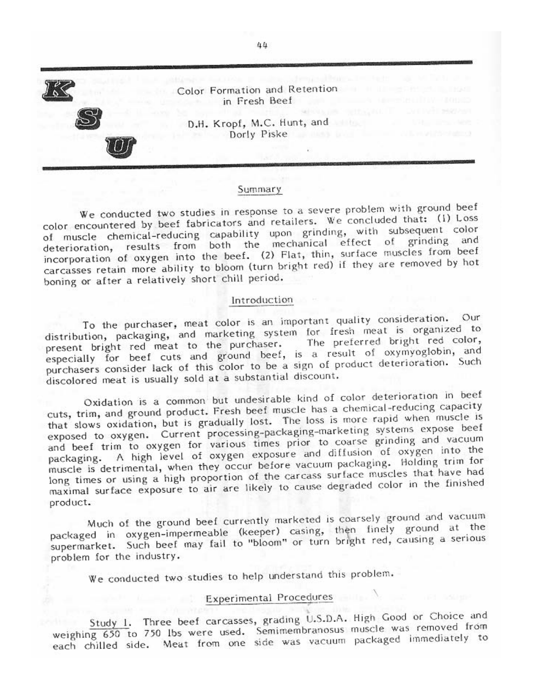

#### Summary

We conducted two studies in response to a severe problem with ground beef color encountered by beef fabricators and retailers. We concluded that: (1) Loss of muscle chemical-reducing capability upon grinding, with subsequent color deterioration, results from both the mechanical effect of grinding and incorporation of oxygen into the beef. (2) Flat, thin, surface muscles from beef carcasses retain more ability to bloom (turn bright red) if they are removed by hot boning or after a relatively short chill period.

#### Introduction

To the purchaser, meat color is an important quality consideration. Our distribution, packaging, and marketing system for fresh meat is organized to present bright red meat to the purchaser. The preferred bright red color, especially for beef cuts and ground beef, is a result of oxymyoglobin, and purchasers consider lack of this color to be a sign of product deterioration. Such discolored meat is usually sold at a substantial discount.

Oxidation is a common but undesirable kind of color deterioration in beef cuts, trim, and ground product. Fresh beef muscle has a chemical-reducing capacity that slows oxidation, but is gradually lost. The loss is more rapid when muscle is exposed to oxygen. Current processing-packaging-marketing systems expose beef and beef trim to oxygen for various times prior to coarse grinding and vacuum packaging. A high level of oxygen exposure and diffusion of oxygen into the muscle is detrimental, when they occur before vacuum packaging. Holding trim for long times or using a high proportion of the carcass surface muscles that have had maximal surface exposure to air are likely to cause degraded color in the finished product.

Much of the ground beef currently marketed is coarsely ground and vacuum packaged in oxygen-impermeable (keeper) casing, then finely ground at the supermarket. Such beef may fail to "bloom" or turn bright red, causing a serious problem for the industry.

We conducted two studies to help understand this problem.

## Experimental Procedures

Study 1. Three beef carcasses, grading U.S.D.A. High Good or Choice and weighing 650 to 750 lbs were used. Semimembranosus muscle was removed from each chilled side. Meat from one side was vacuum packaged immediately to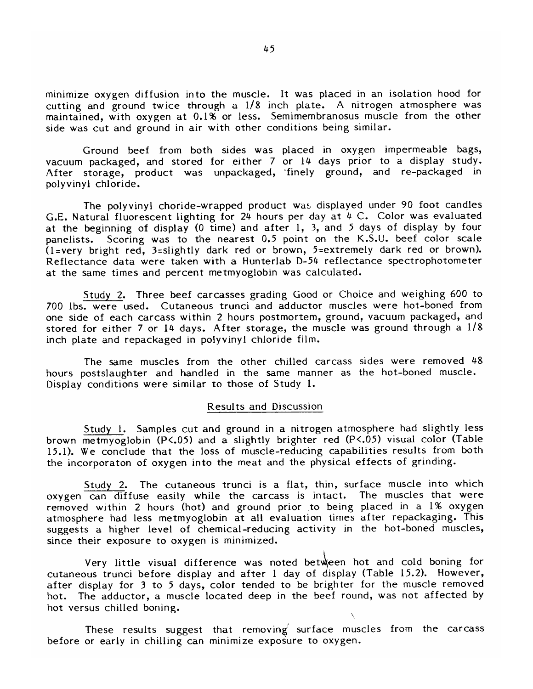minimize oxygen diffusion into the muscle. It was placed in an isolation hood for cutting and ground twice through a 1/8 inch plate. A nitrogen atmosphere was maintained, with oxygen at 0.1% or less. Semimembranosus muscle from the other side was cut and ground in air with other conditions being similar.

Ground beef from both sides was placed in oxygen impermeable bags, vacuum packaged, and stored for either 7 or 14 days prior to a display study. After storage, product was unpackaged, finely ground, and re-packaged in polyvinyl chloride.

The polyvinyl choride-wrapped product was displayed under 90 foot candles G.E. Natural fluorescent lighting for 24 hours per day at 4 C. Color was evaluated at the beginning of display (0 time) and after 1, 3, and 5 days of display by four Scoring was to the nearest 0.5 point on the K.S.U. beef color scale panelists.  $(1 = \text{very bright red}, 3 = \text{slightly dark red or brown}, 5 = \text{extremely dark red or brown}).$ Reflectance data were taken with a Hunterlab D-54 reflectance spectrophotometer at the same times and percent metmyoglobin was calculated.

Study 2. Three beef carcasses grading Good or Choice and weighing 600 to 700 Ibs. were used. Cutaneous trunci and adductor muscles were hot-boned from one side of each carcass within 2 hours postmortem, ground, vacuum packaged, and stored for either 7 or 14 days. After storage, the muscle was ground through a 1/8 inch plate and repackaged in polyvinyl chloride film.

The same muscles from the other chilled carcass sides were removed 48 hours postslaughter and handled in the same manner as the hot-boned muscle. Display conditions were similar to those of Study 1.

#### Results and Discussion

Study 1. Samples cut and ground in a nitrogen atmosphere had slightly less brown metmyoglobin (P<.05) and a slightly brighter red (P<.05) visual color (Table 15.1). We conclude that the loss of muscle-reducing capabilities results from both the incorporaton of oxygen into the meat and the physical effects of grinding.

Study 2. The cutaneous trunci is a flat, thin, surface muscle into which oxygen can diffuse easily while the carcass is intact. The muscles that were removed within 2 hours (hot) and ground prior to being placed in a 1% oxygen atmosphere had less metmyoglobin at all evaluation times after repackaging. This suggests a higher level of chemical-reducing activity in the hot-boned muscles, since their exposure to oxygen is minimized.

Very little visual difference was noted between hot and cold boning for cutaneous trunci before display and after 1 day of display (Table 15.2). However, after display for 3 to 5 days, color tended to be brighter for the muscle removed hot. The adductor, a muscle located deep in the beef round, was not affected by hot versus chilled boning.

These results suggest that removing surface muscles from the carcass before or early in chilling can minimize exposure to oxygen.